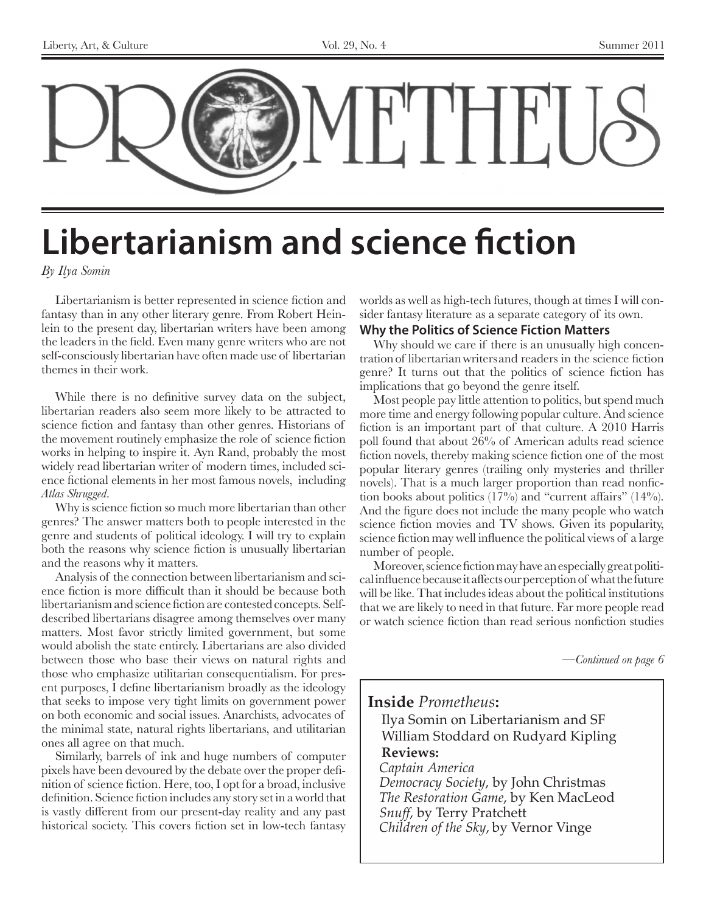

# **Libertarianism and science fiction**

*By Ilya Somin*

Libertarianism is better represented in science fiction and fantasy than in any other literary genre. From Robert Heinlein to the present day, libertarian writers have been among the leaders in the field. Even many genre writers who are not self-consciously libertarian have often made use of libertarian themes in their work.

While there is no definitive survey data on the subject, libertarian readers also seem more likely to be attracted to science fiction and fantasy than other genres. Historians of the movement routinely emphasize the role of science fiction works in helping to inspire it. Ayn Rand, probably the most widely read libertarian writer of modern times, included science fictional elements in her most famous novels, including *Atlas Shrugged*.

Why is science fiction so much more libertarian than other genres? The answer matters both to people interested in the genre and students of political ideology. I will try to explain both the reasons why science fiction is unusually libertarian and the reasons why it matters.

Analysis of the connection between libertarianism and science fiction is more difficult than it should be because both libertarianism and science fiction are contested concepts. Selfdescribed libertarians disagree among themselves over many matters. Most favor strictly limited government, but some would abolish the state entirely. Libertarians are also divided between those who base their views on natural rights and those who emphasize utilitarian consequentialism. For present purposes, I define libertarianism broadly as the ideology that seeks to impose very tight limits on government power on both economic and social issues. Anarchists, advocates of the minimal state, natural rights libertarians, and utilitarian ones all agree on that much.

Similarly, barrels of ink and huge numbers of computer pixels have been devoured by the debate over the proper definition of science fiction. Here, too, I opt for a broad, inclusive definition. Science fiction includes any story set in a world that is vastly different from our present-day reality and any past historical society. This covers fiction set in low-tech fantasy worlds as well as high-tech futures, though at times I will consider fantasy literature as a separate category of its own.

#### **Why the Politics of Science Fiction Matters**

Why should we care if there is an unusually high concentration of libertarian writers and readers in the science fiction genre? It turns out that the politics of science fiction has implications that go beyond the genre itself.

Most people pay little attention to politics, but spend much more time and energy following popular culture. And science fiction is an important part of that culture. A 2010 Harris poll found that about 26% of American adults read science fiction novels, thereby making science fiction one of the most popular literary genres (trailing only mysteries and thriller novels). That is a much larger proportion than read nonfiction books about politics  $(17\%)$  and "current affairs"  $(14\%)$ . And the figure does not include the many people who watch science fiction movies and TV shows. Given its popularity, science fiction may well influence the political views of a large number of people.

Moreover, science fiction may have an especially great political influence because it affects our perception of what the future will be like. That includes ideas about the political institutions that we are likely to need in that future. Far more people read or watch science fiction than read serious nonfiction studies

*—Continued on page 6*

**Inside** *Prometheus***:** Ilya Somin on Libertarianism and SF William Stoddard on Rudyard Kipling **Reviews:** *Captain America Democracy Society*, by John Christmas *The Restoration Game*, by Ken MacLeod *Snuff*, by Terry Pratchett *Children of the Sky*, by Vernor Vinge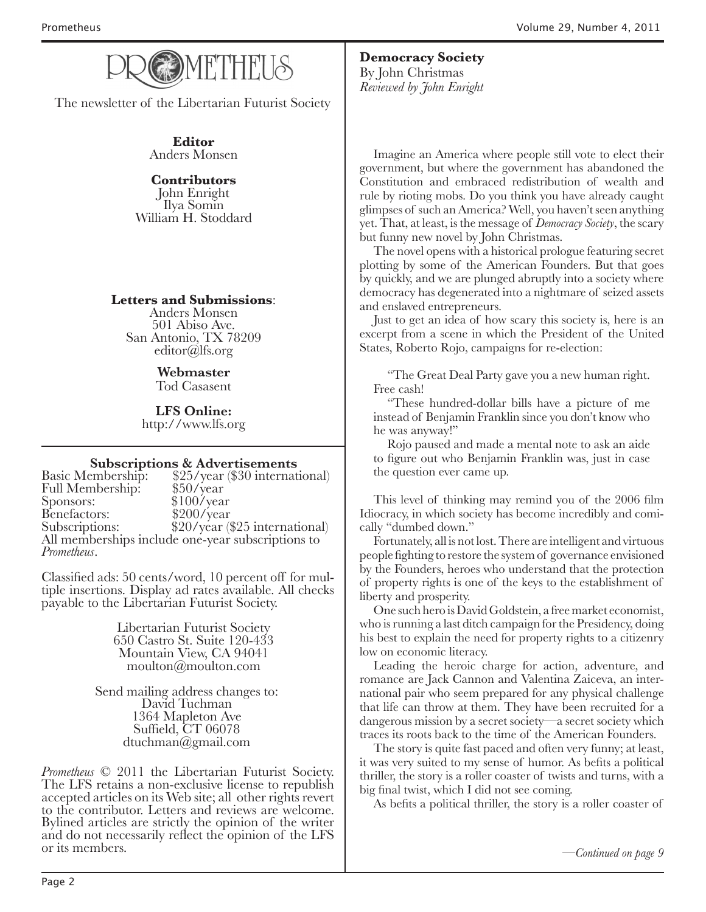

The newsletter of the Libertarian Futurist Society

**Editor** Anders Monsen

#### **Contributors**

John Enright Ilya Somin William H. Stoddard

#### **Letters and Submissions**:

Anders Monsen 501 Abiso Ave. San Antonio, TX 78209 editor@lfs.org

> **Webmaster** Tod Casasent

**LFS Online:** http://www.lfs.org

#### **Subscriptions & Advertisements**

Basic Membership: \$25/year (\$30 international) Full Membership: \$50/year<br>Sponsors: \$100/year \$100/year<br>\$200/year Benefactors:<br>Subscriptions:  $$20/year$  (\$25 international) All memberships include one-year subscriptions to *Prometheus*.

Classified ads: 50 cents/word, 10 percent off for mul- tiple insertions. Display ad rates available. All checks payable to the Libertarian Futurist Society.

> Libertarian Futurist Society 650 Castro St. Suite 120-433 Mountain View, CA 94041 moulton@moulton.com

Send mailing address changes to: David Tuchman 1364 Mapleton Ave Suffield, CT 06078 dtuchman@gmail.com

*Prometheus* © 2011 the Libertarian Futurist Society.<br>The LFS retains a non-exclusive license to republish accepted articles on its Web site; all other rights revert to the contributor. Letters and reviews are welcome. Bylined articles are strictly the opinion of the writer and do not necessarily reflect the opinion of the LFS or its members.

**Democracy Society** By John Christmas *Reviewed by John Enright*

Imagine an America where people still vote to elect their government, but where the government has abandoned the Constitution and embraced redistribution of wealth and rule by rioting mobs. Do you think you have already caught glimpses of such an America? Well, you haven't seen anything yet. That, at least, is the message of *Democracy Society*, the scary but funny new novel by John Christmas.

The novel opens with a historical prologue featuring secret plotting by some of the American Founders. But that goes by quickly, and we are plunged abruptly into a society where democracy has degenerated into a nightmare of seized assets and enslaved entrepreneurs.

Just to get an idea of how scary this society is, here is an excerpt from a scene in which the President of the United States, Roberto Rojo, campaigns for re-election:

"The Great Deal Party gave you a new human right. Free cash!

"These hundred-dollar bills have a picture of me instead of Benjamin Franklin since you don't know who he was anyway!"

Rojo paused and made a mental note to ask an aide to figure out who Benjamin Franklin was, just in case the question ever came up.

This level of thinking may remind you of the 2006 film Idiocracy, in which society has become incredibly and comically "dumbed down."

Fortunately, all is not lost. There are intelligent and virtuous people fighting to restore the system of governance envisioned by the Founders, heroes who understand that the protection of property rights is one of the keys to the establishment of liberty and prosperity.

One such hero is David Goldstein, a free market economist, who is running a last ditch campaign for the Presidency, doing his best to explain the need for property rights to a citizenry low on economic literacy.

Leading the heroic charge for action, adventure, and romance are Jack Cannon and Valentina Zaiceva, an international pair who seem prepared for any physical challenge that life can throw at them. They have been recruited for a dangerous mission by a secret society—a secret society which traces its roots back to the time of the American Founders.

The story is quite fast paced and often very funny; at least, it was very suited to my sense of humor. As befits a political thriller, the story is a roller coaster of twists and turns, with a big final twist, which I did not see coming.

As befits a political thriller, the story is a roller coaster of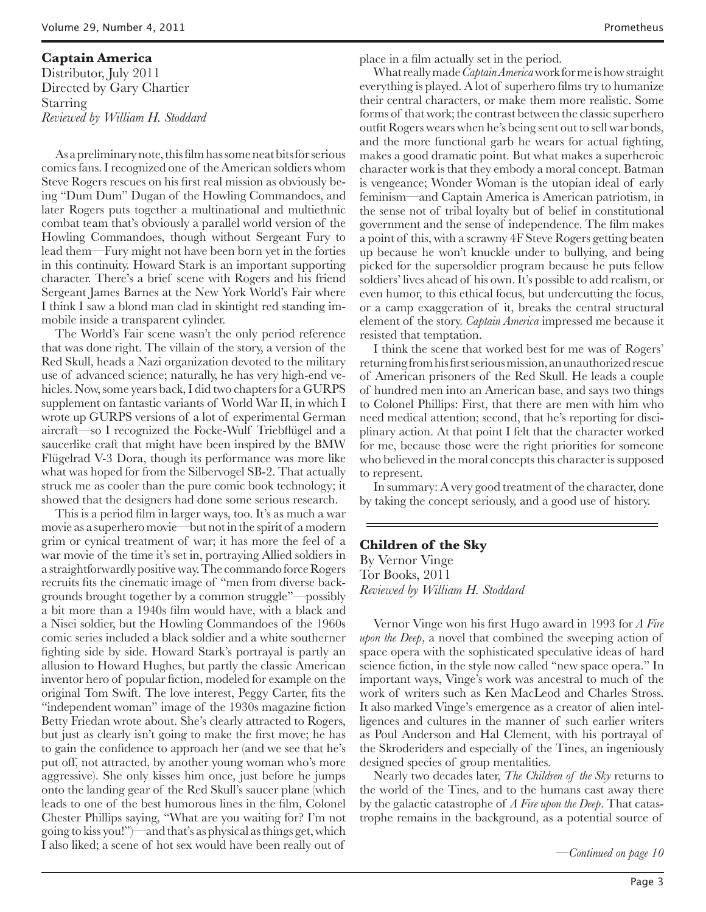**Captain America** Distributor, July 2011 Directed by Gary Chartier Starring *Reviewed by William H. Stoddard*

As a preliminary note, this film has some neat bits for serious comics fans. I recognized one of the American soldiers whom Steve Rogers rescues on his first real mission as obviously being "Dum Dum" Dugan of the Howling Commandoes, and later Rogers puts together a multinational and multiethnic combat team that's obviously a parallel world version of the Howling Commandoes, though without Sergeant Fury to lead them—Fury might not have been born yet in the forties in this continuity. Howard Stark is an important supporting character. There's a brief scene with Rogers and his friend Sergeant James Barnes at the New York World's Fair where I think I saw a blond man clad in skintight red standing immobile inside a transparent cylinder.

The World's Fair scene wasn't the only period reference that was done right. The villain of the story, a version of the Red Skull, heads a Nazi organization devoted to the military use of advanced science; naturally, he has very high-end vehicles. Now, some years back, I did two chapters for a GURPS supplement on fantastic variants of World War II, in which I wrote up GURPS versions of a lot of experimental German aircraft—so I recognized the Focke-Wulf Triebflügel and a saucerlike craft that might have been inspired by the BMW Flügelrad V-3 Dora, though its performance was more like what was hoped for from the Silbervogel SB-2. That actually struck me as cooler than the pure comic book technology; it showed that the designers had done some serious research.

This is a period film in larger ways, too. It's as much a war movie as a superhero movie—but not in the spirit of a modern grim or cynical treatment of war; it has more the feel of a war movie of the time it's set in, portraying Allied soldiers in a straightforwardly positive way. The commando force Rogers recruits fits the cinematic image of "men from diverse backgrounds brought together by a common struggle"—possibly a bit more than a 1940s film would have, with a black and a Nisei soldier, but the Howling Commandoes of the 1960s comic series included a black soldier and a white southerner fighting side by side. Howard Stark's portrayal is partly an allusion to Howard Hughes, but partly the classic American inventor hero of popular fiction, modeled for example on the original Tom Swift. The love interest, Peggy Carter, fits the "independent woman" image of the 1930s magazine fiction Betty Friedan wrote about. She's clearly attracted to Rogers, but just as clearly isn't going to make the first move; he has to gain the confidence to approach her (and we see that he's put off, not attracted, by another young woman who's more aggressive). She only kisses him once, just before he jumps onto the landing gear of the Red Skull's saucer plane (which leads to one of the best humorous lines in the film, Colonel Chester Phillips saying, "What are you waiting for? I'm not going to kiss you!")—and that's as physical as things get, which I also liked; a scene of hot sex would have been really out of

place in a film actually set in the period.

What really made *Captain America* work for me is how straight everything is played. A lot of superhero films try to humanize their central characters, or make them more realistic. Some forms of that work; the contrast between the classic superhero outfit Rogers wears when he's being sent out to sell war bonds, and the more functional garb he wears for actual fighting, makes a good dramatic point. But what makes a superheroic character work is that they embody a moral concept. Batman is vengeance; Wonder Woman is the utopian ideal of early feminism—and Captain America is American patriotism, in the sense not of tribal loyalty but of belief in constitutional government and the sense of independence. The film makes a point of this, with a scrawny 4F Steve Rogers getting beaten up because he won't knuckle under to bullying, and being picked for the supersoldier program because he puts fellow soldiers' lives ahead of his own. It's possible to add realism, or even humor, to this ethical focus, but undercutting the focus, or a camp exaggeration of it, breaks the central structural element of the story. *Captain America* impressed me because it resisted that temptation.

I think the scene that worked best for me was of Rogers' returning from his first serious mission, an unauthorized rescue of American prisoners of the Red Skull. He leads a couple of hundred men into an American base, and says two things to Colonel Phillips: First, that there are men with him who need medical attention; second, that he's reporting for disciplinary action. At that point I felt that the character worked for me, because those were the right priorities for someone who believed in the moral concepts this character is supposed to represent.

In summary: A very good treatment of the character, done by taking the concept seriously, and a good use of history.

#### **Children of the Sky**

By Vernor Vinge Tor Books, 2011 *Reviewed by William H. Stoddard*

Vernor Vinge won his first Hugo award in 1993 for *A Fire upon the Deep*, a novel that combined the sweeping action of space opera with the sophisticated speculative ideas of hard science fiction, in the style now called "new space opera." In important ways, Vinge's work was ancestral to much of the work of writers such as Ken MacLeod and Charles Stross. It also marked Vinge's emergence as a creator of alien intelligences and cultures in the manner of such earlier writers as Poul Anderson and Hal Clement, with his portrayal of the Skroderiders and especially of the Tines, an ingeniously designed species of group mentalities.

Nearly two decades later, *The Children of the Sky* returns to the world of the Tines, and to the humans cast away there by the galactic catastrophe of *A Fire upon the Deep*. That catastrophe remains in the background, as a potential source of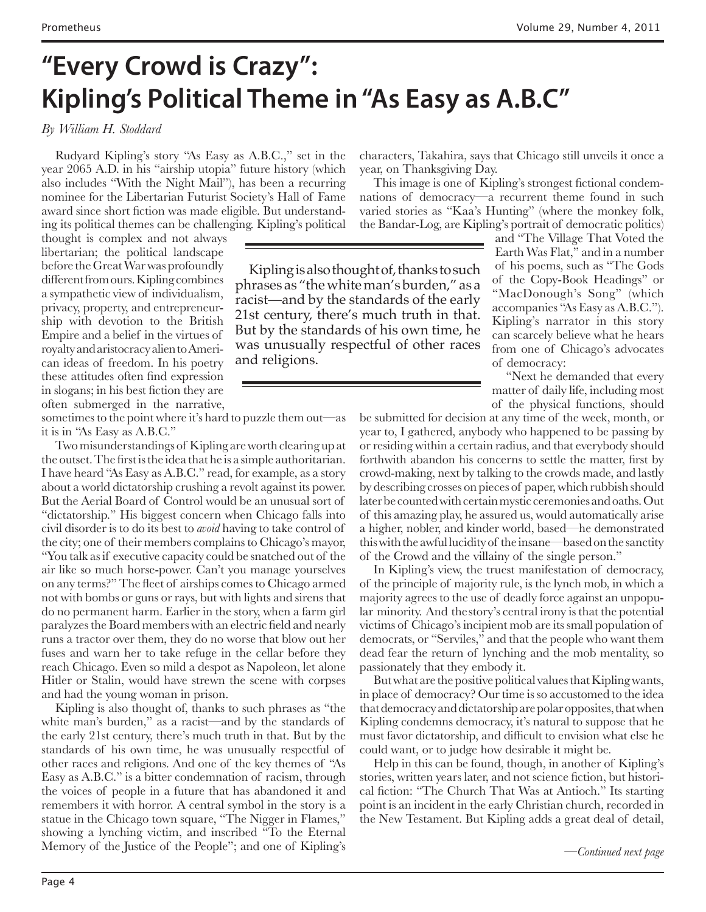## **"Every Crowd is Crazy": Kipling's Political Theme in "As Easy as A.B.C"**

*By William H. Stoddard*

Rudyard Kipling's story "As Easy as A.B.C.," set in the year 2065 A.D. in his "airship utopia" future history (which also includes "With the Night Mail"), has been a recurring nominee for the Libertarian Futurist Society's Hall of Fame award since short fiction was made eligible. But understanding its political themes can be challenging. Kipling's political

thought is complex and not always libertarian; the political landscape before the Great War was profoundly different from ours. Kipling combines a sympathetic view of individualism, privacy, property, and entrepreneurship with devotion to the British Empire and a belief in the virtues of royalty and aristocracy alien to American ideas of freedom. In his poetry these attitudes often find expression in slogans; in his best fiction they are often submerged in the narrative,

sometimes to the point where it's hard to puzzle them out—as it is in "As Easy as A.B.C."

Two misunderstandings of Kipling are worth clearing up at the outset. The first is the idea that he is a simple authoritarian. I have heard "As Easy as A.B.C." read, for example, as a story about a world dictatorship crushing a revolt against its power. But the Aerial Board of Control would be an unusual sort of "dictatorship." His biggest concern when Chicago falls into civil disorder is to do its best to *avoid* having to take control of the city; one of their members complains to Chicago's mayor, "You talk as if executive capacity could be snatched out of the air like so much horse-power. Can't you manage yourselves on any terms?" The fleet of airships comes to Chicago armed not with bombs or guns or rays, but with lights and sirens that do no permanent harm. Earlier in the story, when a farm girl paralyzes the Board members with an electric field and nearly runs a tractor over them, they do no worse that blow out her fuses and warn her to take refuge in the cellar before they reach Chicago. Even so mild a despot as Napoleon, let alone Hitler or Stalin, would have strewn the scene with corpses and had the young woman in prison.

Kipling is also thought of, thanks to such phrases as "the white man's burden," as a racist—and by the standards of the early 21st century, there's much truth in that. But by the standards of his own time, he was unusually respectful of other races and religions. And one of the key themes of "As Easy as A.B.C." is a bitter condemnation of racism, through the voices of people in a future that has abandoned it and remembers it with horror. A central symbol in the story is a statue in the Chicago town square, "The Nigger in Flames," showing a lynching victim, and inscribed "To the Eternal Memory of the Justice of the People"; and one of Kipling's

characters, Takahira, says that Chicago still unveils it once a year, on Thanksgiving Day.

This image is one of Kipling's strongest fictional condemnations of democracy—a recurrent theme found in such varied stories as "Kaa's Hunting" (where the monkey folk, the Bandar-Log, are Kipling's portrait of democratic politics)

Kipling is also thought of, thanks to such phrases as "the white man's burden," as a racist—and by the standards of the early 21st century, there's much truth in that. But by the standards of his own time, he was unusually respectful of other races and religions.

and "The Village That Voted the Earth Was Flat," and in a number of his poems, such as "The Gods of the Copy-Book Headings" or "MacDonough's Song" (which accompanies "As Easy as A.B.C."). Kipling's narrator in this story can scarcely believe what he hears from one of Chicago's advocates of democracy:

"Next he demanded that every matter of daily life, including most of the physical functions, should

be submitted for decision at any time of the week, month, or year to, I gathered, anybody who happened to be passing by or residing within a certain radius, and that everybody should forthwith abandon his concerns to settle the matter, first by crowd-making, next by talking to the crowds made, and lastly by describing crosses on pieces of paper, which rubbish should later be counted with certain mystic ceremonies and oaths. Out of this amazing play, he assured us, would automatically arise a higher, nobler, and kinder world, based—he demonstrated this with the awful lucidity of the insane—based on the sanctity of the Crowd and the villainy of the single person."

In Kipling's view, the truest manifestation of democracy, of the principle of majority rule, is the lynch mob, in which a majority agrees to the use of deadly force against an unpopular minority. And the story's central irony is that the potential victims of Chicago's incipient mob are its small population of democrats, or "Serviles," and that the people who want them dead fear the return of lynching and the mob mentality, so passionately that they embody it.

But what are the positive political values that Kipling wants, in place of democracy? Our time is so accustomed to the idea that democracy and dictatorship are polar opposites, that when Kipling condemns democracy, it's natural to suppose that he must favor dictatorship, and difficult to envision what else he could want, or to judge how desirable it might be.

Help in this can be found, though, in another of Kipling's stories, written years later, and not science fiction, but historical fiction: "The Church That Was at Antioch." Its starting point is an incident in the early Christian church, recorded in the New Testament. But Kipling adds a great deal of detail,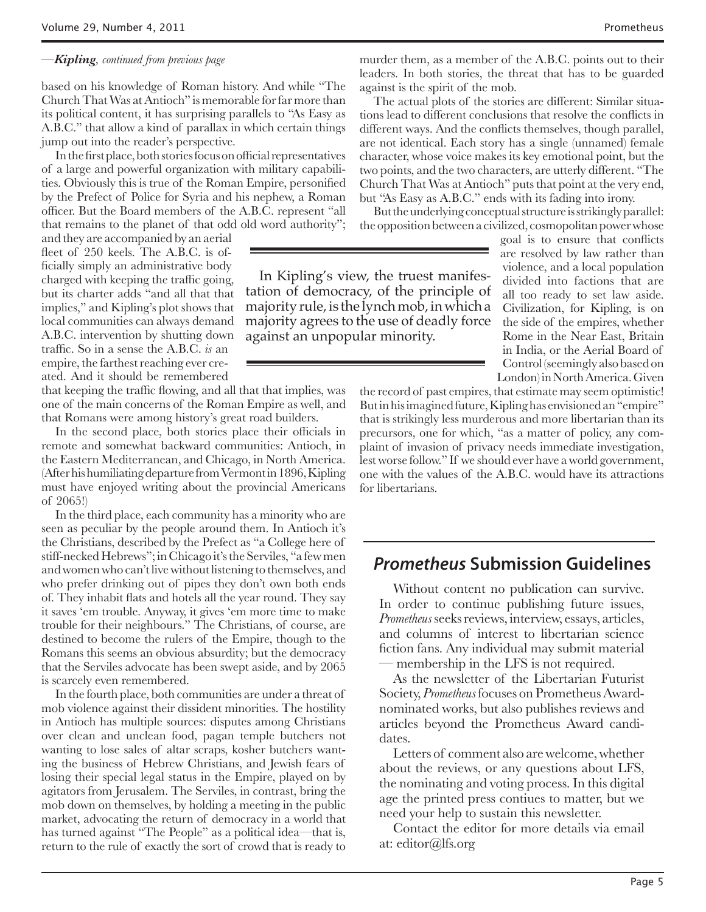#### *—Kipling, continued from previous page*

based on his knowledge of Roman history. And while "The Church That Was at Antioch" is memorable for far more than its political content, it has surprising parallels to "As Easy as A.B.C." that allow a kind of parallax in which certain things jump out into the reader's perspective.

In the first place, both stories focus on official representatives of a large and powerful organization with military capabilities. Obviously this is true of the Roman Empire, personified by the Prefect of Police for Syria and his nephew, a Roman officer. But the Board members of the A.B.C. represent "all that remains to the planet of that odd old word authority";

and they are accompanied by an aerial fleet of 250 keels. The A.B.C. is officially simply an administrative body charged with keeping the traffic going, but its charter adds "and all that that implies," and Kipling's plot shows that local communities can always demand A.B.C. intervention by shutting down traffic. So in a sense the A.B.C. *is* an empire, the farthest reaching ever created. And it should be remembered

that keeping the traffic flowing, and all that that implies, was one of the main concerns of the Roman Empire as well, and that Romans were among history's great road builders.

In the second place, both stories place their officials in remote and somewhat backward communities: Antioch, in the Eastern Mediterranean, and Chicago, in North America. (After his humiliating departure from Vermont in 1896, Kipling must have enjoyed writing about the provincial Americans of 2065!)

In the third place, each community has a minority who are seen as peculiar by the people around them. In Antioch it's the Christians, described by the Prefect as "a College here of stiff-necked Hebrews"; in Chicago it's the Serviles, "a few men and women who can't live without listening to themselves, and who prefer drinking out of pipes they don't own both ends of. They inhabit flats and hotels all the year round. They say it saves 'em trouble. Anyway, it gives 'em more time to make trouble for their neighbours." The Christians, of course, are destined to become the rulers of the Empire, though to the Romans this seems an obvious absurdity; but the democracy that the Serviles advocate has been swept aside, and by 2065 is scarcely even remembered.

In the fourth place, both communities are under a threat of mob violence against their dissident minorities. The hostility in Antioch has multiple sources: disputes among Christians over clean and unclean food, pagan temple butchers not wanting to lose sales of altar scraps, kosher butchers wanting the business of Hebrew Christians, and Jewish fears of losing their special legal status in the Empire, played on by agitators from Jerusalem. The Serviles, in contrast, bring the mob down on themselves, by holding a meeting in the public market, advocating the return of democracy in a world that has turned against "The People" as a political idea—that is, return to the rule of exactly the sort of crowd that is ready to

murder them, as a member of the A.B.C. points out to their leaders. In both stories, the threat that has to be guarded against is the spirit of the mob.

The actual plots of the stories are different: Similar situations lead to different conclusions that resolve the conflicts in different ways. And the conflicts themselves, though parallel, are not identical. Each story has a single (unnamed) female character, whose voice makes its key emotional point, but the two points, and the two characters, are utterly different. "The Church That Was at Antioch" puts that point at the very end, but "As Easy as A.B.C." ends with its fading into irony.

But the underlying conceptual structure is strikingly parallel: the opposition between a civilized, cosmopolitan power whose

In Kipling's view, the truest manifestation of democracy, of the principle of majority rule, is the lynch mob, in which a majority agrees to the use of deadly force against an unpopular minority.

goal is to ensure that conflicts are resolved by law rather than violence, and a local population divided into factions that are all too ready to set law aside. Civilization, for Kipling, is on the side of the empires, whether Rome in the Near East, Britain in India, or the Aerial Board of Control (seemingly also based on London) in North America. Given

the record of past empires, that estimate may seem optimistic! But in his imagined future, Kipling has envisioned an "empire" that is strikingly less murderous and more libertarian than its precursors, one for which, "as a matter of policy, any complaint of invasion of privacy needs immediate investigation, lest worse follow." If we should ever have a world government, one with the values of the A.B.C. would have its attractions for libertarians.

#### **Prometheus Submission Guidelines**

Without content no publication can survive. In order to continue publishing future issues, *Prometheus* seeks reviews, interview, essays, articles, and columns of interest to libertarian science fiction fans. Any individual may submit material — membership in the LFS is not required.

As the newsletter of the Libertarian Futurist Society, *Prometheus* focuses on Prometheus Awardnominated works, but also publishes reviews and articles beyond the Prometheus Award candidates.

Letters of comment also are welcome, whether about the reviews, or any questions about LFS, the nominating and voting process. In this digital age the printed press contiues to matter, but we need your help to sustain this newsletter.

Contact the editor for more details via email at: editor@lfs.org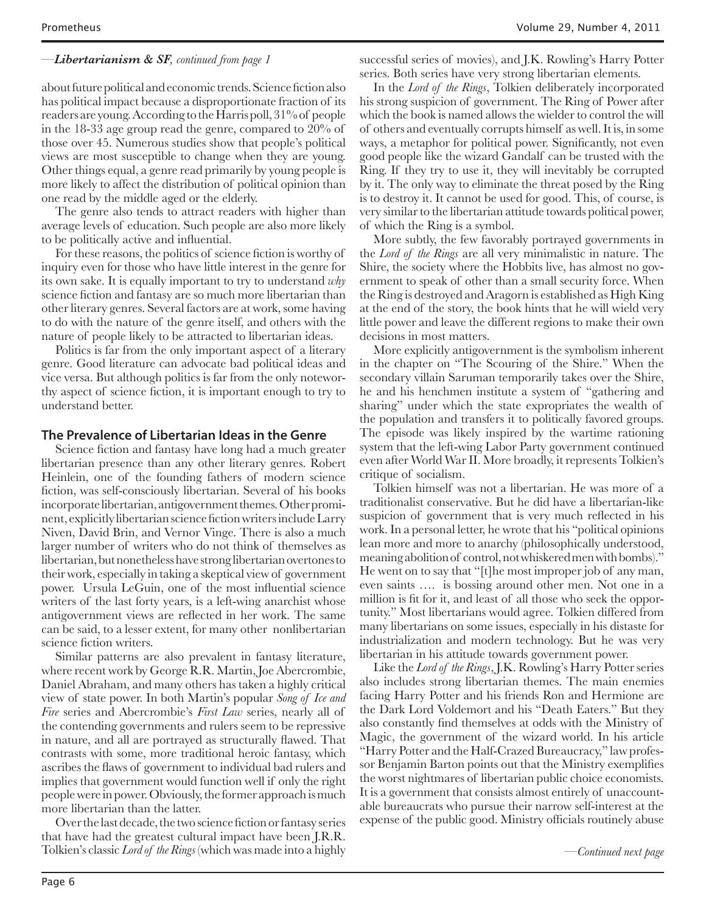#### *—Libertarianism & SF, continued from page 1*

about future political and economic trends. Science fiction also has political impact because a disproportionate fraction of its readers are young. According to the Harris poll, 31% of people in the 18-33 age group read the genre, compared to 20% of those over 45. Numerous studies show that people's political views are most susceptible to change when they are young. Other things equal, a genre read primarily by young people is more likely to affect the distribution of political opinion than one read by the middle aged or the elderly.

The genre also tends to attract readers with higher than average levels of education. Such people are also more likely to be politically active and influential.

For these reasons, the politics of science fiction is worthy of inquiry even for those who have little interest in the genre for its own sake. It is equally important to try to understand *why*  science fiction and fantasy are so much more libertarian than other literary genres. Several factors are at work, some having to do with the nature of the genre itself, and others with the nature of people likely to be attracted to libertarian ideas.

Politics is far from the only important aspect of a literary genre. Good literature can advocate bad political ideas and vice versa. But although politics is far from the only noteworthy aspect of science fiction, it is important enough to try to understand better.

#### **The Prevalence of Libertarian Ideas in the Genre**

Science fiction and fantasy have long had a much greater libertarian presence than any other literary genres. Robert Heinlein, one of the founding fathers of modern science fiction, was self-consciously libertarian. Several of his books incorporate libertarian, antigovernment themes. Other prominent, explicitly libertarian science fiction writers include Larry Niven, David Brin, and Vernor Vinge. There is also a much larger number of writers who do not think of themselves as libertarian, but nonetheless have strong libertarian overtones to their work, especially in taking a skeptical view of government power. Ursula LeGuin, one of the most influential science writers of the last forty years, is a left-wing anarchist whose antigovernment views are reflected in her work. The same can be said, to a lesser extent, for many other nonlibertarian science fiction writers.

Similar patterns are also prevalent in fantasy literature, where recent work by George R.R. Martin, Joe Abercrombie, Daniel Abraham, and many others has taken a highly critical view of state power. In both Martin's popular *Song of Ice and Fire* series and Abercrombie's *First Law* series, nearly all of the contending governments and rulers seem to be repressive in nature, and all are portrayed as structurally flawed. That contrasts with some, more traditional heroic fantasy, which ascribes the flaws of government to individual bad rulers and implies that government would function well if only the right people were in power. Obviously, the former approach is much more libertarian than the latter.

Over the last decade, the two science fiction or fantasy series that have had the greatest cultural impact have been J.R.R. Tolkien's classic *Lord of the Rings* (which was made into a highly

successful series of movies), and J.K. Rowling's Harry Potter series. Both series have very strong libertarian elements.

In the *Lord of the Rings*, Tolkien deliberately incorporated his strong suspicion of government. The Ring of Power after which the book is named allows the wielder to control the will of others and eventually corrupts himself as well. It is, in some ways, a metaphor for political power. Significantly, not even good people like the wizard Gandalf can be trusted with the Ring. If they try to use it, they will inevitably be corrupted by it. The only way to eliminate the threat posed by the Ring is to destroy it. It cannot be used for good. This, of course, is very similar to the libertarian attitude towards political power, of which the Ring is a symbol.

More subtly, the few favorably portrayed governments in the *Lord of the Rings* are all very minimalistic in nature. The Shire, the society where the Hobbits live, has almost no government to speak of other than a small security force. When the Ring is destroyed and Aragorn is established as High King at the end of the story, the book hints that he will wield very little power and leave the different regions to make their own decisions in most matters.

More explicitly antigovernment is the symbolism inherent in the chapter on "The Scouring of the Shire." When the secondary villain Saruman temporarily takes over the Shire, he and his henchmen institute a system of "gathering and sharing" under which the state expropriates the wealth of the population and transfers it to politically favored groups. The episode was likely inspired by the wartime rationing system that the left-wing Labor Party government continued even after World War II. More broadly, it represents Tolkien's critique of socialism.

Tolkien himself was not a libertarian. He was more of a traditionalist conservative. But he did have a libertarian-like suspicion of government that is very much reflected in his work. In a personal letter, he wrote that his "political opinions lean more and more to anarchy (philosophically understood, meaning abolition of control, not whiskered men with bombs)." He went on to say that "[t]he most improper job of any man, even saints …. is bossing around other men. Not one in a million is fit for it, and least of all those who seek the opportunity." Most libertarians would agree. Tolkien differed from many libertarians on some issues, especially in his distaste for industrialization and modern technology. But he was very libertarian in his attitude towards government power.

Like the *Lord of the Rings*, J.K. Rowling's Harry Potter series also includes strong libertarian themes. The main enemies facing Harry Potter and his friends Ron and Hermione are the Dark Lord Voldemort and his "Death Eaters." But they also constantly find themselves at odds with the Ministry of Magic, the government of the wizard world. In his article "Harry Potter and the Half-Crazed Bureaucracy," law professor Benjamin Barton points out that the Ministry exemplifies the worst nightmares of libertarian public choice economists. It is a government that consists almost entirely of unaccountable bureaucrats who pursue their narrow self-interest at the expense of the public good. Ministry officials routinely abuse

*—Continued next page*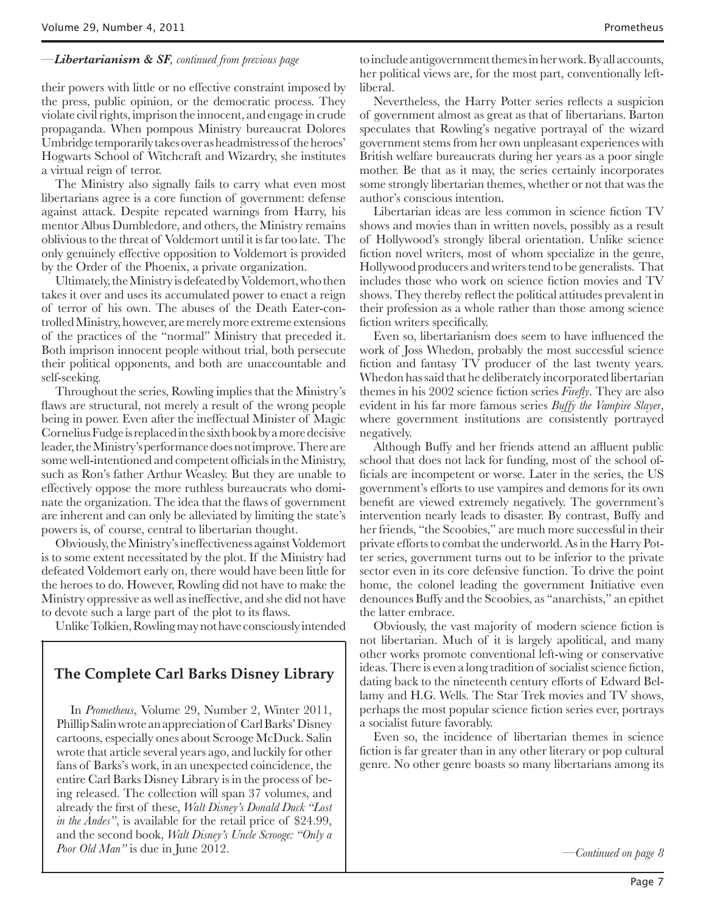#### *—Libertarianism & SF, continued from previous page*

their powers with little or no effective constraint imposed by the press, public opinion, or the democratic process. They violate civil rights, imprison the innocent, and engage in crude propaganda. When pompous Ministry bureaucrat Dolores Umbridge temporarily takes over as headmistress of the heroes' Hogwarts School of Witchcraft and Wizardry, she institutes a virtual reign of terror.

The Ministry also signally fails to carry what even most libertarians agree is a core function of government: defense against attack. Despite repeated warnings from Harry, his mentor Albus Dumbledore, and others, the Ministry remains oblivious to the threat of Voldemort until it is far too late. The only genuinely effective opposition to Voldemort is provided by the Order of the Phoenix, a private organization.

Ultimately, the Ministry is defeated by Voldemort, who then takes it over and uses its accumulated power to enact a reign of terror of his own. The abuses of the Death Eater-controlled Ministry, however, are merely more extreme extensions of the practices of the "normal" Ministry that preceded it. Both imprison innocent people without trial, both persecute their political opponents, and both are unaccountable and self-seeking.

Throughout the series, Rowling implies that the Ministry's flaws are structural, not merely a result of the wrong people being in power. Even after the ineffectual Minister of Magic Cornelius Fudge is replaced in the sixth book by a more decisive leader, the Ministry's performance does not improve. There are some well-intentioned and competent officials in the Ministry, such as Ron's father Arthur Weasley. But they are unable to effectively oppose the more ruthless bureaucrats who dominate the organization. The idea that the flaws of government are inherent and can only be alleviated by limiting the state's powers is, of course, central to libertarian thought.

Obviously, the Ministry's ineffectiveness against Voldemort is to some extent necessitated by the plot. If the Ministry had defeated Voldemort early on, there would have been little for the heroes to do. However, Rowling did not have to make the Ministry oppressive as well as ineffective, and she did not have to devote such a large part of the plot to its flaws.

Unlike Tolkien, Rowling may not have consciously intended

#### **The Complete Carl Barks Disney Library**

In *Prometheus*, Volume 29, Number 2, Winter 2011, Phillip Salin wrote an appreciation of Carl Barks' Disney cartoons, especially ones about Scrooge McDuck. Salin wrote that article several years ago, and luckily for other fans of Barks's work, in an unexpected coincidence, the entire Carl Barks Disney Library is in the process of being released. The collection will span 37 volumes, and already the first of these, *Walt Disney's Donald Duck "Lost in the Andes"*, is available for the retail price of \$24.99, and the second book, *Walt Disney's Uncle Scrooge: "Only a Poor Old Man"* is due in June 2012.

to include antigovernment themes in her work. By all accounts, her political views are, for the most part, conventionally leftliberal.

Nevertheless, the Harry Potter series reflects a suspicion of government almost as great as that of libertarians. Barton speculates that Rowling's negative portrayal of the wizard government stems from her own unpleasant experiences with British welfare bureaucrats during her years as a poor single mother. Be that as it may, the series certainly incorporates some strongly libertarian themes, whether or not that was the author's conscious intention.

Libertarian ideas are less common in science fiction TV shows and movies than in written novels, possibly as a result of Hollywood's strongly liberal orientation. Unlike science fiction novel writers, most of whom specialize in the genre, Hollywood producers and writers tend to be generalists. That includes those who work on science fiction movies and TV shows. They thereby reflect the political attitudes prevalent in their profession as a whole rather than those among science fiction writers specifically.

Even so, libertarianism does seem to have influenced the work of Joss Whedon, probably the most successful science fiction and fantasy TV producer of the last twenty years. Whedon has said that he deliberately incorporated libertarian themes in his 2002 science fiction series *Firefly*. They are also evident in his far more famous series *Buffy the Vampire Slayer*, where government institutions are consistently portrayed negatively.

Although Buffy and her friends attend an affluent public school that does not lack for funding, most of the school officials are incompetent or worse. Later in the series, the US government's efforts to use vampires and demons for its own benefit are viewed extremely negatively. The government's intervention nearly leads to disaster. By contrast, Buffy and her friends, "the Scoobies," are much more successful in their private efforts to combat the underworld. As in the Harry Potter series, government turns out to be inferior to the private sector even in its core defensive function. To drive the point home, the colonel leading the government Initiative even denounces Buffy and the Scoobies, as "anarchists," an epithet the latter embrace.

Obviously, the vast majority of modern science fiction is not libertarian. Much of it is largely apolitical, and many other works promote conventional left-wing or conservative ideas. There is even a long tradition of socialist science fiction, dating back to the nineteenth century efforts of Edward Bellamy and H.G. Wells. The Star Trek movies and TV shows, perhaps the most popular science fiction series ever, portrays a socialist future favorably.

Even so, the incidence of libertarian themes in science fiction is far greater than in any other literary or pop cultural genre. No other genre boasts so many libertarians among its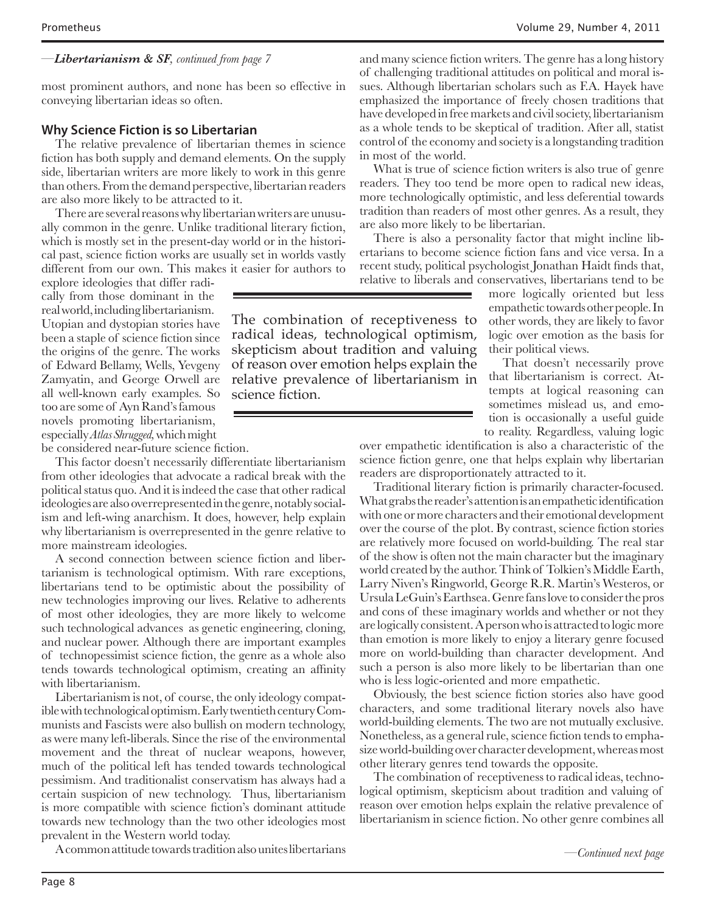#### *—Libertarianism & SF, continued from page 7*

most prominent authors, and none has been so effective in conveying libertarian ideas so often.

#### **Why Science Fiction is so Libertarian**

The relative prevalence of libertarian themes in science fiction has both supply and demand elements. On the supply side, libertarian writers are more likely to work in this genre than others. From the demand perspective, libertarian readers are also more likely to be attracted to it.

There are several reasons why libertarian writers are unusually common in the genre. Unlike traditional literary fiction, which is mostly set in the present-day world or in the historical past, science fiction works are usually set in worlds vastly different from our own. This makes it easier for authors to

explore ideologies that differ radically from those dominant in the real world, including libertarianism. Utopian and dystopian stories have been a staple of science fiction since the origins of the genre. The works of Edward Bellamy, Wells, Yevgeny Zamyatin, and George Orwell are all well-known early examples. So too are some of Ayn Rand's famous novels promoting libertarianism, especially *Atlas Shrugged,* which might

be considered near-future science fiction.

This factor doesn't necessarily differentiate libertarianism from other ideologies that advocate a radical break with the political status quo. And it is indeed the case that other radical ideologies are also overrepresented in the genre, notably socialism and left-wing anarchism. It does, however, help explain why libertarianism is overrepresented in the genre relative to more mainstream ideologies.

A second connection between science fiction and libertarianism is technological optimism. With rare exceptions, libertarians tend to be optimistic about the possibility of new technologies improving our lives. Relative to adherents of most other ideologies, they are more likely to welcome such technological advances as genetic engineering, cloning, and nuclear power. Although there are important examples of technopessimist science fiction, the genre as a whole also tends towards technological optimism, creating an affinity with libertarianism.

Libertarianism is not, of course, the only ideology compatible with technological optimism. Early twentieth century Communists and Fascists were also bullish on modern technology, as were many left-liberals. Since the rise of the environmental movement and the threat of nuclear weapons, however, much of the political left has tended towards technological pessimism. And traditionalist conservatism has always had a certain suspicion of new technology. Thus, libertarianism is more compatible with science fiction's dominant attitude towards new technology than the two other ideologies most prevalent in the Western world today.

A common attitude towards tradition also unites libertarians

Prometheus Volume 29, Number 4, 2011

and many science fiction writers. The genre has a long history of challenging traditional attitudes on political and moral issues. Although libertarian scholars such as F.A. Hayek have emphasized the importance of freely chosen traditions that have developed in free markets and civil society, libertarianism as a whole tends to be skeptical of tradition. After all, statist control of the economy and society is a longstanding tradition in most of the world.

What is true of science fiction writers is also true of genre readers. They too tend be more open to radical new ideas, more technologically optimistic, and less deferential towards tradition than readers of most other genres. As a result, they are also more likely to be libertarian.

There is also a personality factor that might incline libertarians to become science fiction fans and vice versa. In a recent study, political psychologist Jonathan Haidt finds that, relative to liberals and conservatives, libertarians tend to be

more logically oriented but less empathetic towards other people. In other words, they are likely to favor logic over emotion as the basis for their political views.

That doesn't necessarily prove that libertarianism is correct. Attempts at logical reasoning can sometimes mislead us, and emotion is occasionally a useful guide to reality. Regardless, valuing logic

over empathetic identification is also a characteristic of the science fiction genre, one that helps explain why libertarian readers are disproportionately attracted to it.

Traditional literary fiction is primarily character-focused. What grabs the reader's attention is an empathetic identification with one or more characters and their emotional development over the course of the plot. By contrast, science fiction stories are relatively more focused on world-building. The real star of the show is often not the main character but the imaginary world created by the author. Think of Tolkien's Middle Earth, Larry Niven's Ringworld, George R.R. Martin's Westeros, or Ursula LeGuin's Earthsea. Genre fans love to consider the pros and cons of these imaginary worlds and whether or not they are logically consistent. A person who is attracted to logic more than emotion is more likely to enjoy a literary genre focused more on world-building than character development. And such a person is also more likely to be libertarian than one who is less logic-oriented and more empathetic.

Obviously, the best science fiction stories also have good characters, and some traditional literary novels also have world-building elements. The two are not mutually exclusive. Nonetheless, as a general rule, science fiction tends to emphasize world-building over character development, whereas most other literary genres tend towards the opposite.

The combination of receptiveness to radical ideas, technological optimism, skepticism about tradition and valuing of reason over emotion helps explain the relative prevalence of libertarianism in science fiction. No other genre combines all

The combination of receptiveness to radical ideas, technological optimism, skepticism about tradition and valuing of reason over emotion helps explain the relative prevalence of libertarianism in science fiction.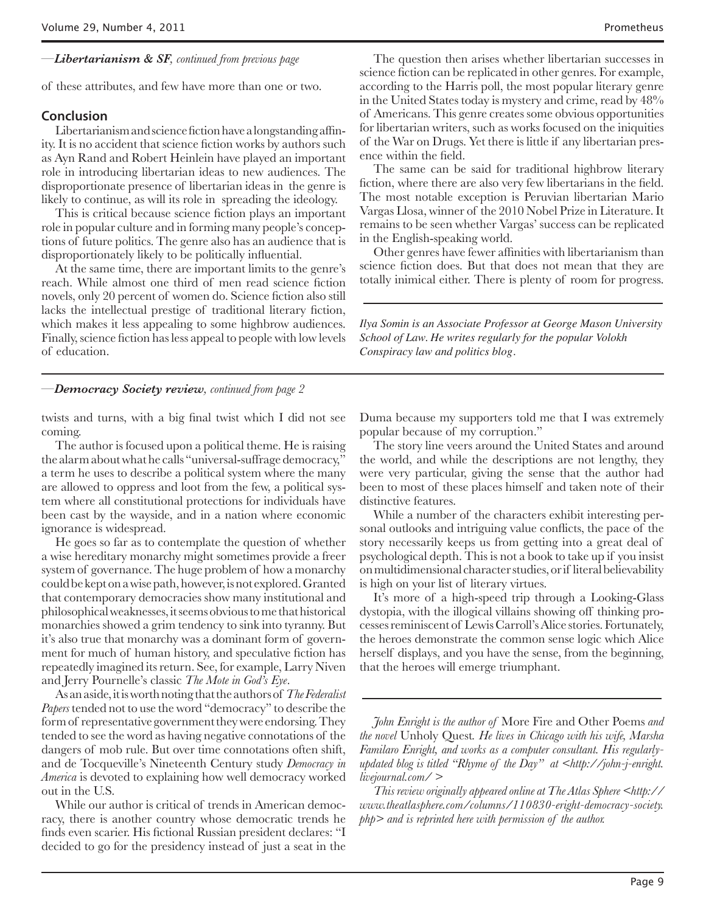#### *—Libertarianism & SF, continued from previous page*

of these attributes, and few have more than one or two.

#### **Conclusion**

Libertarianism and science fiction have a longstanding affinity. It is no accident that science fiction works by authors such as Ayn Rand and Robert Heinlein have played an important role in introducing libertarian ideas to new audiences. The disproportionate presence of libertarian ideas in the genre is likely to continue, as will its role in spreading the ideology.

This is critical because science fiction plays an important role in popular culture and in forming many people's conceptions of future politics. The genre also has an audience that is disproportionately likely to be politically influential.

At the same time, there are important limits to the genre's reach. While almost one third of men read science fiction novels, only 20 percent of women do. Science fiction also still lacks the intellectual prestige of traditional literary fiction, which makes it less appealing to some highbrow audiences. Finally, science fiction has less appeal to people with low levels of education.

The question then arises whether libertarian successes in science fiction can be replicated in other genres. For example, according to the Harris poll, the most popular literary genre in the United States today is mystery and crime, read by 48% of Americans. This genre creates some obvious opportunities for libertarian writers, such as works focused on the iniquities of the War on Drugs. Yet there is little if any libertarian presence within the field.

The same can be said for traditional highbrow literary fiction, where there are also very few libertarians in the field. The most notable exception is Peruvian libertarian Mario Vargas Llosa, winner of the 2010 Nobel Prize in Literature. It remains to be seen whether Vargas' success can be replicated in the English-speaking world.

Other genres have fewer affinities with libertarianism than science fiction does. But that does not mean that they are totally inimical either. There is plenty of room for progress.

*Ilya Somin is an Associate Professor at George Mason University School of Law. He writes regularly for the popular Volokh Conspiracy law and politics blog.*

*—Democracy Society review, continued from page 2*

twists and turns, with a big final twist which I did not see coming.

The author is focused upon a political theme. He is raising the alarm about what he calls "universal-suffrage democracy," a term he uses to describe a political system where the many are allowed to oppress and loot from the few, a political system where all constitutional protections for individuals have been cast by the wayside, and in a nation where economic ignorance is widespread.

He goes so far as to contemplate the question of whether a wise hereditary monarchy might sometimes provide a freer system of governance. The huge problem of how a monarchy could be kept on a wise path, however, is not explored. Granted that contemporary democracies show many institutional and philosophical weaknesses, it seems obvious to me that historical monarchies showed a grim tendency to sink into tyranny. But it's also true that monarchy was a dominant form of government for much of human history, and speculative fiction has repeatedly imagined its return. See, for example, Larry Niven and Jerry Pournelle's classic *The Mote in God's Eye*.

As an aside, it is worth noting that the authors of *The Federalist Papers* tended not to use the word "democracy" to describe the form of representative government they were endorsing. They tended to see the word as having negative connotations of the dangers of mob rule. But over time connotations often shift, and de Tocqueville's Nineteenth Century study *Democracy in America* is devoted to explaining how well democracy worked out in the U.S.

While our author is critical of trends in American democracy, there is another country whose democratic trends he finds even scarier. His fictional Russian president declares: "I decided to go for the presidency instead of just a seat in the Duma because my supporters told me that I was extremely popular because of my corruption."

The story line veers around the United States and around the world, and while the descriptions are not lengthy, they were very particular, giving the sense that the author had been to most of these places himself and taken note of their distinctive features.

While a number of the characters exhibit interesting personal outlooks and intriguing value conflicts, the pace of the story necessarily keeps us from getting into a great deal of psychological depth. This is not a book to take up if you insist on multidimensional character studies, or if literal believability is high on your list of literary virtues.

It's more of a high-speed trip through a Looking-Glass dystopia, with the illogical villains showing off thinking processes reminiscent of Lewis Carroll's Alice stories. Fortunately, the heroes demonstrate the common sense logic which Alice herself displays, and you have the sense, from the beginning, that the heroes will emerge triumphant.

*John Enright is the author of* More Fire and Other Poems *and the novel* Unholy Quest*. He lives in Chicago with his wife, Marsha Familaro Enright, and works as a computer consultant. His regularlyupdated blog is titled "Rhyme of the Day" at <http://john-j-enright. livejournal.com/ >* 

*This review originally appeared online at The Atlas Sphere <http:// www.theatlasphere.com/columns/110830-eright-democracy-society. php> and is reprinted here with permission of the author.*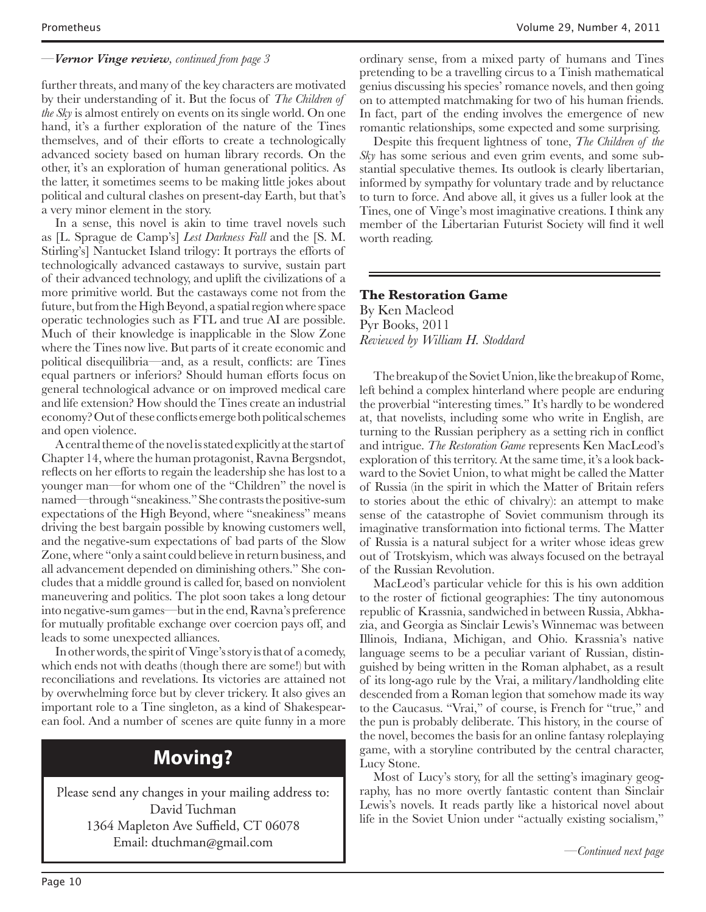#### *—Vernor Vinge review, continued from page 3*

further threats, and many of the key characters are motivated by their understanding of it. But the focus of *The Children of the Sky* is almost entirely on events on its single world. On one hand, it's a further exploration of the nature of the Tines themselves, and of their efforts to create a technologically advanced society based on human library records. On the other, it's an exploration of human generational politics. As the latter, it sometimes seems to be making little jokes about political and cultural clashes on present-day Earth, but that's a very minor element in the story.

In a sense, this novel is akin to time travel novels such as [L. Sprague de Camp's] *Lest Darkness Fall* and the [S. M. Stirling's] Nantucket Island trilogy: It portrays the efforts of technologically advanced castaways to survive, sustain part of their advanced technology, and uplift the civilizations of a more primitive world. But the castaways come not from the future, but from the High Beyond, a spatial region where space operatic technologies such as FTL and true AI are possible. Much of their knowledge is inapplicable in the Slow Zone where the Tines now live. But parts of it create economic and political disequilibria—and, as a result, conflicts: are Tines equal partners or inferiors? Should human efforts focus on general technological advance or on improved medical care and life extension? How should the Tines create an industrial economy? Out of these conflicts emerge both political schemes and open violence.

A central theme of the novel is stated explicitly at the start of Chapter 14, where the human protagonist, Ravna Bergsndot, reflects on her efforts to regain the leadership she has lost to a younger man—for whom one of the "Children" the novel is named—through "sneakiness." She contrasts the positive-sum expectations of the High Beyond, where "sneakiness" means driving the best bargain possible by knowing customers well, and the negative-sum expectations of bad parts of the Slow Zone, where "only a saint could believe in return business, and all advancement depended on diminishing others." She concludes that a middle ground is called for, based on nonviolent maneuvering and politics. The plot soon takes a long detour into negative-sum games—but in the end, Ravna's preference for mutually profitable exchange over coercion pays off, and leads to some unexpected alliances.

In other words, the spirit of Vinge's story is that of a comedy, which ends not with deaths (though there are some!) but with reconciliations and revelations. Its victories are attained not by overwhelming force but by clever trickery. It also gives an important role to a Tine singleton, as a kind of Shakespearean fool. And a number of scenes are quite funny in a more

## **Moving?**

Please send any changes in your mailing address to: David Tuchman 1364 Mapleton Ave Suffield, CT 06078 Email: dtuchman@gmail.com

ordinary sense, from a mixed party of humans and Tines pretending to be a travelling circus to a Tinish mathematical genius discussing his species' romance novels, and then going on to attempted matchmaking for two of his human friends. In fact, part of the ending involves the emergence of new romantic relationships, some expected and some surprising.

Despite this frequent lightness of tone, *The Children of the Sky* has some serious and even grim events, and some substantial speculative themes. Its outlook is clearly libertarian, informed by sympathy for voluntary trade and by reluctance to turn to force. And above all, it gives us a fuller look at the Tines, one of Vinge's most imaginative creations. I think any member of the Libertarian Futurist Society will find it well worth reading.

#### **The Restoration Game**

By Ken Macleod Pyr Books, 2011 *Reviewed by William H. Stoddard*

The breakup of the Soviet Union, like the breakup of Rome, left behind a complex hinterland where people are enduring the proverbial "interesting times." It's hardly to be wondered at, that novelists, including some who write in English, are turning to the Russian periphery as a setting rich in conflict and intrigue. *The Restoration Game* represents Ken MacLeod's exploration of this territory. At the same time, it's a look backward to the Soviet Union, to what might be called the Matter of Russia (in the spirit in which the Matter of Britain refers to stories about the ethic of chivalry): an attempt to make sense of the catastrophe of Soviet communism through its imaginative transformation into fictional terms. The Matter of Russia is a natural subject for a writer whose ideas grew out of Trotskyism, which was always focused on the betrayal of the Russian Revolution.

MacLeod's particular vehicle for this is his own addition to the roster of fictional geographies: The tiny autonomous republic of Krassnia, sandwiched in between Russia, Abkhazia, and Georgia as Sinclair Lewis's Winnemac was between Illinois, Indiana, Michigan, and Ohio. Krassnia's native language seems to be a peculiar variant of Russian, distinguished by being written in the Roman alphabet, as a result of its long-ago rule by the Vrai, a military/landholding elite descended from a Roman legion that somehow made its way to the Caucasus. "Vrai," of course, is French for "true," and the pun is probably deliberate. This history, in the course of the novel, becomes the basis for an online fantasy roleplaying game, with a storyline contributed by the central character, Lucy Stone.

Most of Lucy's story, for all the setting's imaginary geography, has no more overtly fantastic content than Sinclair Lewis's novels. It reads partly like a historical novel about life in the Soviet Union under "actually existing socialism,"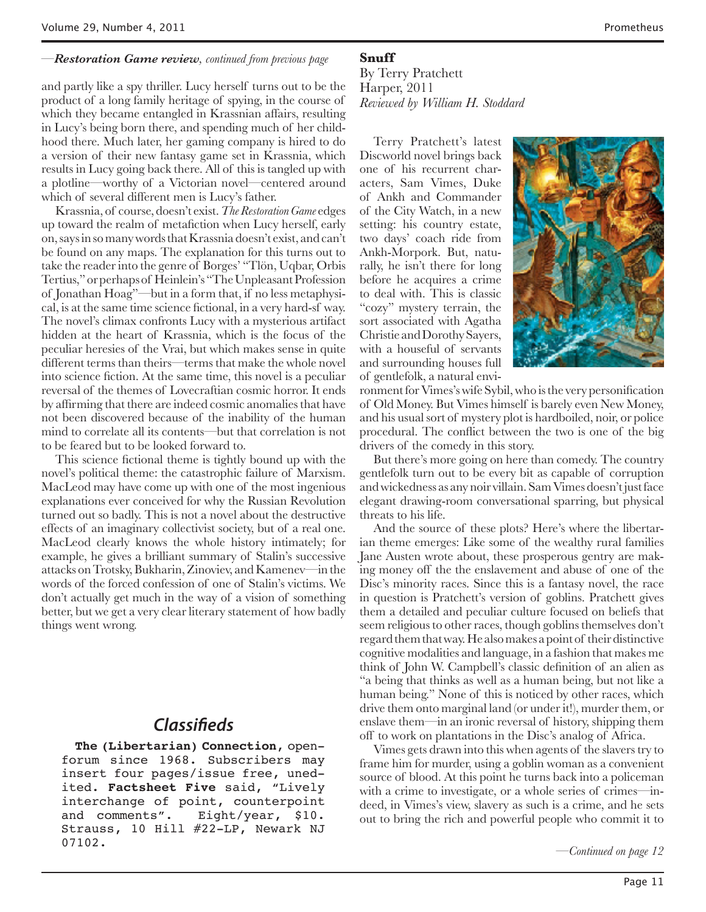#### *—Restoration Game review, continued from previous page*

and partly like a spy thriller. Lucy herself turns out to be the product of a long family heritage of spying, in the course of which they became entangled in Krassnian affairs, resulting in Lucy's being born there, and spending much of her childhood there. Much later, her gaming company is hired to do a version of their new fantasy game set in Krassnia, which results in Lucy going back there. All of this is tangled up with a plotline—worthy of a Victorian novel—centered around which of several different men is Lucy's father.

Krassnia, of course, doesn't exist. *The Restoration Game* edges up toward the realm of metafiction when Lucy herself, early on, says in so many words that Krassnia doesn't exist, and can't be found on any maps. The explanation for this turns out to take the reader into the genre of Borges' "Tlön, Uqbar, Orbis Tertius," or perhaps of Heinlein's "The Unpleasant Profession of Jonathan Hoag"—but in a form that, if no less metaphysical, is at the same time science fictional, in a very hard-sf way. The novel's climax confronts Lucy with a mysterious artifact hidden at the heart of Krassnia, which is the focus of the peculiar heresies of the Vrai, but which makes sense in quite different terms than theirs—terms that make the whole novel into science fiction. At the same time, this novel is a peculiar reversal of the themes of Lovecraftian cosmic horror. It ends by affirming that there are indeed cosmic anomalies that have not been discovered because of the inability of the human mind to correlate all its contents—but that correlation is not to be feared but to be looked forward to.

This science fictional theme is tightly bound up with the novel's political theme: the catastrophic failure of Marxism. MacLeod may have come up with one of the most ingenious explanations ever conceived for why the Russian Revolution turned out so badly. This is not a novel about the destructive effects of an imaginary collectivist society, but of a real one. MacLeod clearly knows the whole history intimately; for example, he gives a brilliant summary of Stalin's successive attacks on Trotsky, Bukharin, Zinoviev, and Kamenev—in the words of the forced confession of one of Stalin's victims. We don't actually get much in the way of a vision of something better, but we get a very clear literary statement of how badly things went wrong.

### **Classifieds**

**The (Libertarian) Connection**, openforum since 1968. Subscribers may insert four pages/issue free, unedited. **Factsheet Five** said, "Lively interchange of point, counterpoint and comments". Eight/year, \$10. Strauss, 10 Hill #22-LP, Newark NJ 07102.

**Snuff** By Terry Pratchett Harper, 2011 *Reviewed by William H. Stoddard*

Terry Pratchett's latest Discworld novel brings back one of his recurrent characters, Sam Vimes, Duke of Ankh and Commander of the City Watch, in a new setting: his country estate, two days' coach ride from Ankh-Morpork. But, naturally, he isn't there for long before he acquires a crime to deal with. This is classic "cozy" mystery terrain, the sort associated with Agatha Christie and Dorothy Sayers, with a houseful of servants and surrounding houses full of gentlefolk, a natural envi-



ronment for Vimes's wife Sybil, who is the very personification of Old Money. But Vimes himself is barely even New Money, and his usual sort of mystery plot is hardboiled, noir, or police procedural. The conflict between the two is one of the big drivers of the comedy in this story.

But there's more going on here than comedy. The country gentlefolk turn out to be every bit as capable of corruption and wickedness as any noir villain. Sam Vimes doesn't just face elegant drawing-room conversational sparring, but physical threats to his life.

And the source of these plots? Here's where the libertarian theme emerges: Like some of the wealthy rural families Jane Austen wrote about, these prosperous gentry are making money off the the enslavement and abuse of one of the Disc's minority races. Since this is a fantasy novel, the race in question is Pratchett's version of goblins. Pratchett gives them a detailed and peculiar culture focused on beliefs that seem religious to other races, though goblins themselves don't regard them that way. He also makes a point of their distinctive cognitive modalities and language, in a fashion that makes me think of John W. Campbell's classic definition of an alien as "a being that thinks as well as a human being, but not like a human being." None of this is noticed by other races, which drive them onto marginal land (or under it!), murder them, or enslave them—in an ironic reversal of history, shipping them off to work on plantations in the Disc's analog of Africa.

Vimes gets drawn into this when agents of the slavers try to frame him for murder, using a goblin woman as a convenient source of blood. At this point he turns back into a policeman with a crime to investigate, or a whole series of crimes—indeed, in Vimes's view, slavery as such is a crime, and he sets out to bring the rich and powerful people who commit it to